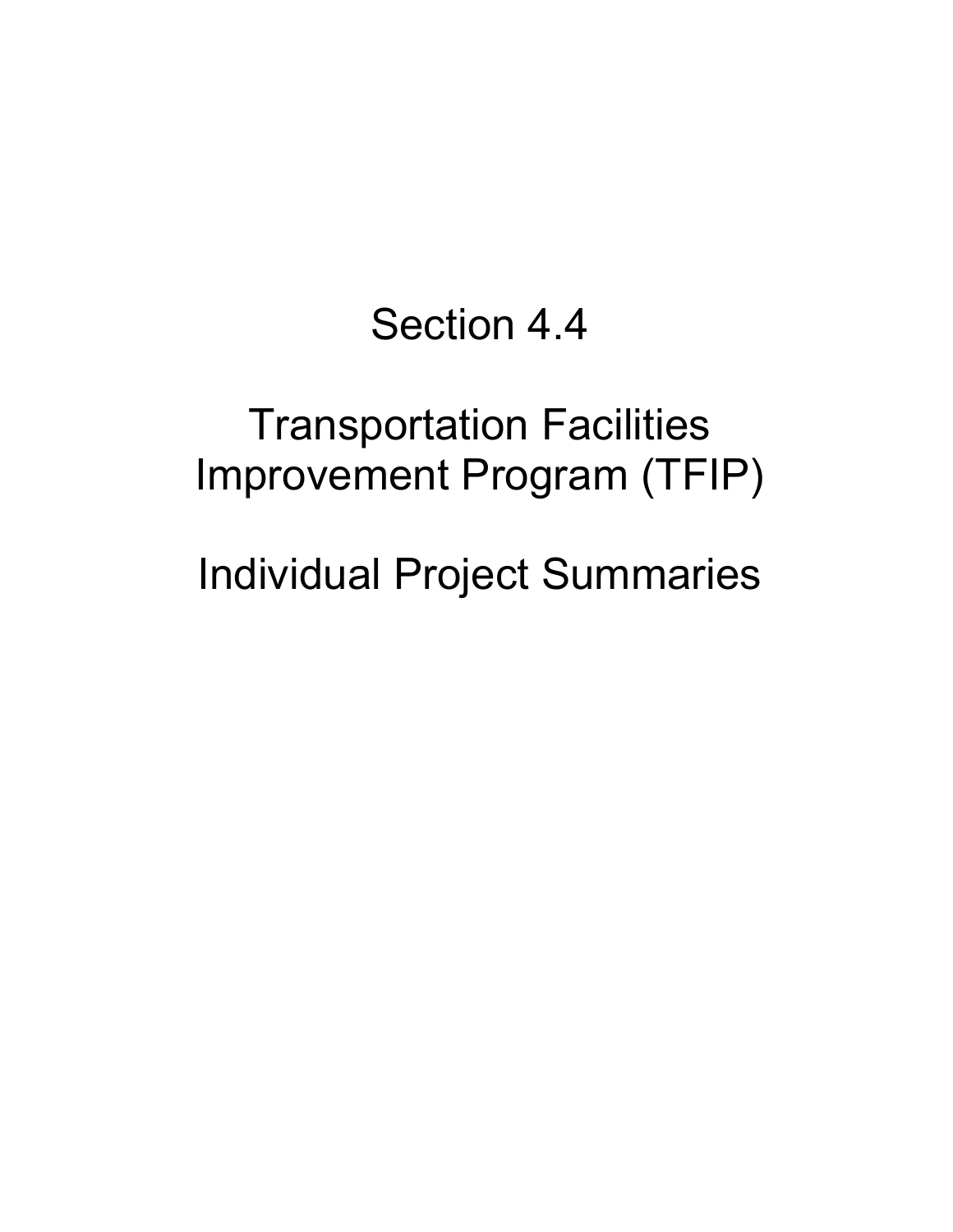## Section 4.4

# Transportation Facilities Improvement Program (TFIP)

Individual Project Summaries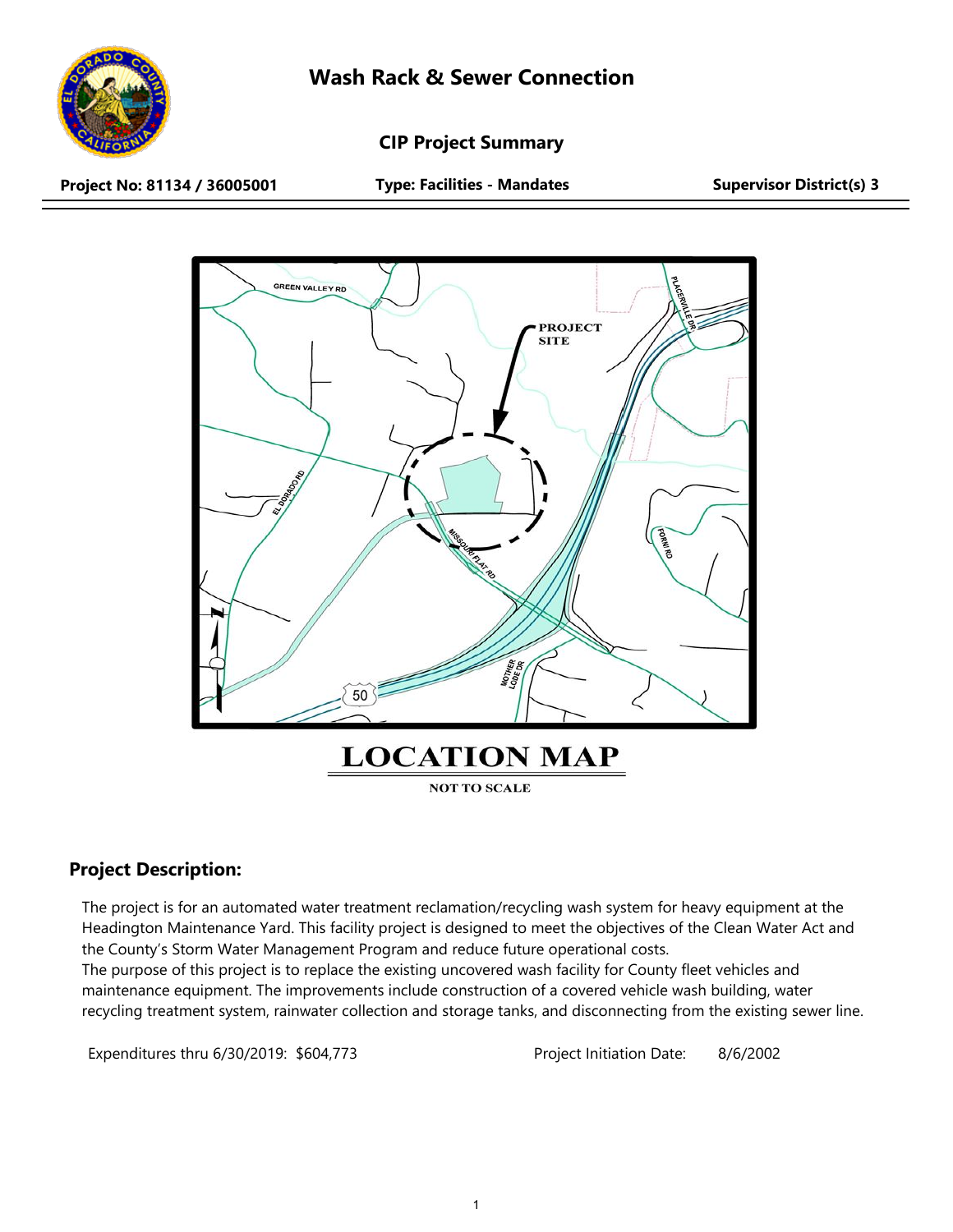

**CIP Project Summary**

**Project No: 81134 / 36005001 Type: Facilities - Mandates Supervisor District(s) 3**



## **Project Description:**

The project is for an automated water treatment reclamation/recycling wash system for heavy equipment at the Headington Maintenance Yard. This facility project is designed to meet the objectives of the Clean Water Act and the County's Storm Water Management Program and reduce future operational costs.

The purpose of this project is to replace the existing uncovered wash facility for County fleet vehicles and maintenance equipment. The improvements include construction of a covered vehicle wash building, water recycling treatment system, rainwater collection and storage tanks, and disconnecting from the existing sewer line.

Expenditures thru 6/30/2019: \$604,773 Project Initiation Date: 8/6/2002